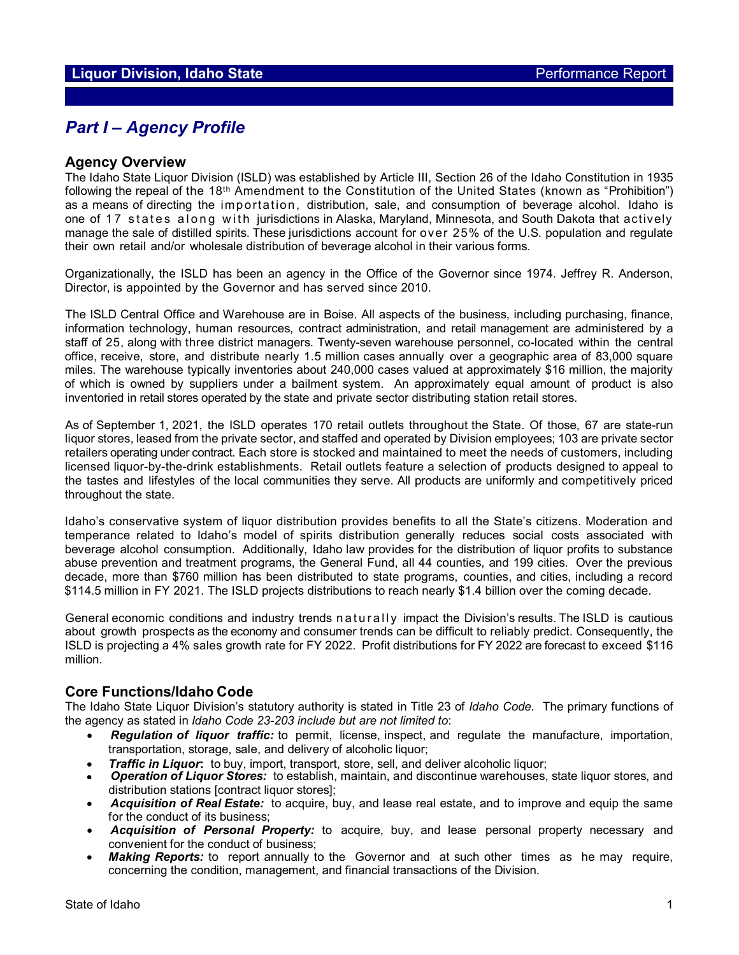# *Part I – Agency Profile*

### **Agency Overview**

The Idaho State Liquor Division (ISLD) was established by Article III, Section 26 of the Idaho Constitution in 1935 following the repeal of the 18th Amendment to the Constitution of the United States (known as "Prohibition") as a means of directing the importation, distribution, sale, and consumption of beverage alcohol. Idaho is one of 17 states along with jurisdictions in Alaska, Maryland, Minnesota, and South Dakota that actively manage the sale of distilled spirits. These jurisdictions account for over 25% of the U.S. population and regulate their own retail and/or wholesale distribution of beverage alcohol in their various forms.

Organizationally, the ISLD has been an agency in the Office of the Governor since 1974. Jeffrey R. Anderson, Director, is appointed by the Governor and has served since 2010.

The ISLD Central Office and Warehouse are in Boise. All aspects of the business, including purchasing, finance, information technology, human resources, contract administration, and retail management are administered by a staff of 25, along with three district managers. Twenty-seven warehouse personnel, co-located within the central office, receive, store, and distribute nearly 1.5 million cases annually over a geographic area of 83,000 square miles. The warehouse typically inventories about 240,000 cases valued at approximately \$16 million, the majority of which is owned by suppliers under a bailment system. An approximately equal amount of product is also inventoried in retail stores operated by the state and private sector distributing station retail stores.

As of September 1, 2021, the ISLD operates 170 retail outlets throughout the State. Of those, 67 are state-run liquor stores, leased from the private sector, and staffed and operated by Division employees; 103 are private sector retailers operating under contract. Each store is stocked and maintained to meet the needs of customers, including licensed liquor-by-the-drink establishments. Retail outlets feature a selection of products designed to appeal to the tastes and lifestyles of the local communities they serve. All products are uniformly and competitively priced throughout the state.

Idaho's conservative system of liquor distribution provides benefits to all the State's citizens. Moderation and temperance related to Idaho's model of spirits distribution generally reduces social costs associated with beverage alcohol consumption. Additionally, Idaho law provides for the distribution of liquor profits to substance abuse prevention and treatment programs, the General Fund, all 44 counties, and 199 cities. Over the previous decade, more than \$760 million has been distributed to state programs, counties, and cities, including a record \$114.5 million in FY 2021. The ISLD projects distributions to reach nearly \$1.4 billion over the coming decade.

General economic conditions and industry trends n aturally impact the Division's results. The ISLD is cautious about growth prospects as the economy and consumer trends can be difficult to reliably predict. Consequently, the ISLD is projecting a 4% sales growth rate for FY 2022. Profit distributions for FY 2022 are forecast to exceed \$116 million.

## **Core Functions/Idaho Code**

The Idaho State Liquor Division's statutory authority is stated in Title 23 of *Idaho Code.* The primary functions of the agency as stated in *Idaho Code 23-203 include but are not limited to*:

- *Regulation of liquor traffic:* to permit, license, inspect, and regulate the manufacture, importation, transportation, storage, sale, and delivery of alcoholic liquor;
- *Traffic in Liquor***:** to buy, import, transport, store, sell, and deliver alcoholic liquor;
- *Operation of Liquor Stores:* to establish, maintain, and discontinue warehouses, state liquor stores, and distribution stations [contract liquor stores];
- *Acquisition of Real Estate:* to acquire, buy, and lease real estate, and to improve and equip the same for the conduct of its business;
- *Acquisition of Personal Property:* to acquire, buy, and lease personal property necessary and convenient for the conduct of business;
- Making Reports: to report annually to the Governor and at such other times as he may require. concerning the condition, management, and financial transactions of the Division.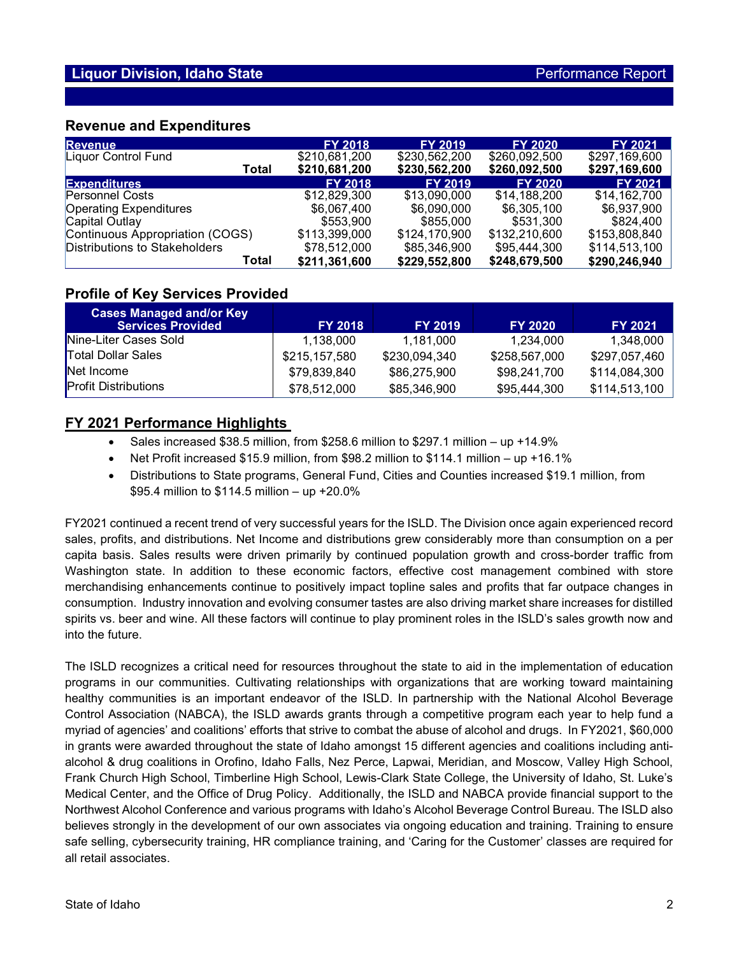### **Revenue and Expenditures**

| <b>Revenue</b>                  | <b>FY 2018</b> | <b>FY 2019</b> | <b>FY 2020</b> | <b>FY 2021</b> |
|---------------------------------|----------------|----------------|----------------|----------------|
| Liquor Control Fund             | \$210,681,200  | \$230,562,200  | \$260.092.500  | \$297,169,600  |
| Total                           | \$210,681,200  | \$230,562,200  | \$260,092,500  | \$297,169,600  |
| <b>Expenditures</b>             | <b>FY 2018</b> | <b>FY 2019</b> | <b>FY 2020</b> | <b>FY 2021</b> |
| <b>Personnel Costs</b>          | \$12,829,300   | \$13,090,000   | \$14.188.200   | \$14,162,700   |
| <b>Operating Expenditures</b>   | \$6,067,400    | \$6,090,000    | \$6,305,100    | \$6,937,900    |
| Capital Outlay                  | \$553.900      | \$855,000      | \$531,300      | \$824,400      |
| Continuous Appropriation (COGS) | \$113,399,000  | \$124,170,900  | \$132,210,600  | \$153,808,840  |
| Distributions to Stakeholders   | \$78,512,000   | \$85,346,900   | \$95,444,300   | \$114,513,100  |
| Total                           | \$211,361,600  | \$229,552,800  | \$248,679,500  | \$290,246,940  |

## **Profile of Key Services Provided**

| <b>Cases Managed and/or Key</b><br><b>Services Provided</b> | <b>FY 2018</b> | <b>FY 2019</b> | <b>FY 2020</b> | <b>FY 2021</b> |
|-------------------------------------------------------------|----------------|----------------|----------------|----------------|
| Nine-Liter Cases Sold                                       | 1.138.000      | 1.181.000      | 1.234.000      | 1,348,000      |
| <b>Total Dollar Sales</b>                                   | \$215,157,580  | \$230,094,340  | \$258,567,000  | \$297,057,460  |
| Net Income                                                  | \$79,839,840   | \$86,275,900   | \$98,241,700   | \$114,084,300  |
| <b>Profit Distributions</b>                                 | \$78,512,000   | \$85,346,900   | \$95,444,300   | \$114,513,100  |

# **FY 2021 Performance Highlights**

- Sales increased \$38.5 million, from \$258.6 million to \$297.1 million up +14.9%
- Net Profit increased \$15.9 million, from \$98.2 million to \$114.1 million up +16.1%
- Distributions to State programs, General Fund, Cities and Counties increased \$19.1 million, from \$95.4 million to \$114.5 million – up +20.0%

FY2021 continued a recent trend of very successful years for the ISLD. The Division once again experienced record sales, profits, and distributions. Net Income and distributions grew considerably more than consumption on a per capita basis. Sales results were driven primarily by continued population growth and cross-border traffic from Washington state. In addition to these economic factors, effective cost management combined with store merchandising enhancements continue to positively impact topline sales and profits that far outpace changes in consumption. Industry innovation and evolving consumer tastes are also driving market share increases for distilled spirits vs. beer and wine. All these factors will continue to play prominent roles in the ISLD's sales growth now and into the future.

The ISLD recognizes a critical need for resources throughout the state to aid in the implementation of education programs in our communities. Cultivating relationships with organizations that are working toward maintaining healthy communities is an important endeavor of the ISLD. In partnership with the National Alcohol Beverage Control Association (NABCA), the ISLD awards grants through a competitive program each year to help fund a myriad of agencies' and coalitions' efforts that strive to combat the abuse of alcohol and drugs. In FY2021, \$60,000 in grants were awarded throughout the state of Idaho amongst 15 different agencies and coalitions including antialcohol & drug coalitions in Orofino, Idaho Falls, Nez Perce, Lapwai, Meridian, and Moscow, Valley High School, Frank Church High School, Timberline High School, Lewis-Clark State College, the University of Idaho, St. Luke's Medical Center, and the Office of Drug Policy. Additionally, the ISLD and NABCA provide financial support to the Northwest Alcohol Conference and various programs with Idaho's Alcohol Beverage Control Bureau. The ISLD also believes strongly in the development of our own associates via ongoing education and training. Training to ensure safe selling, cybersecurity training, HR compliance training, and 'Caring for the Customer' classes are required for all retail associates.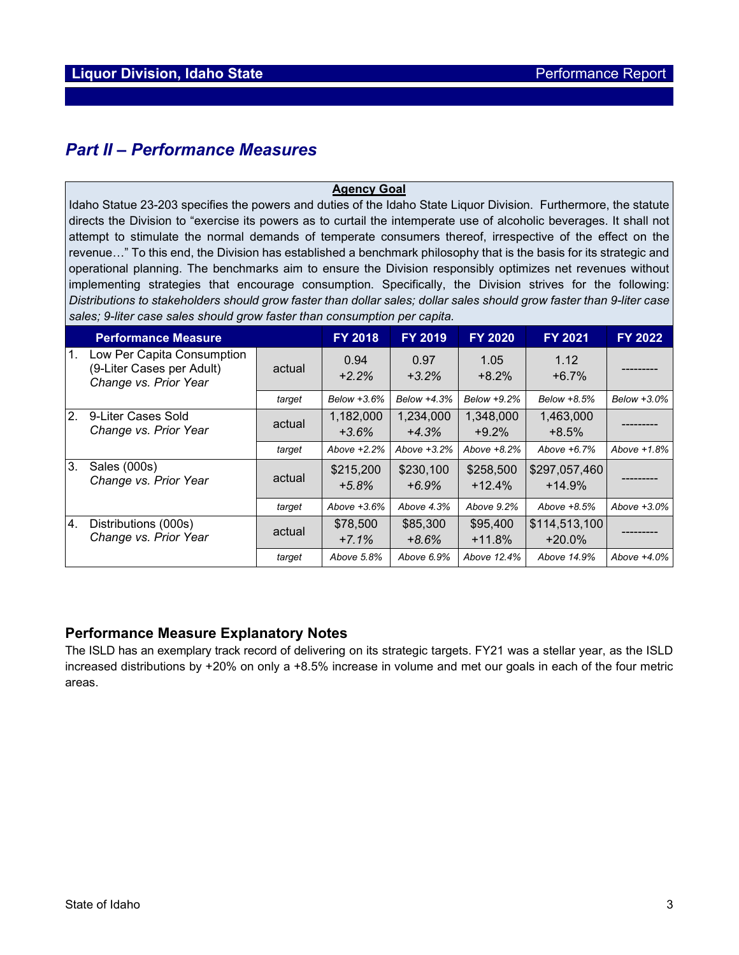# *Part II – Performance Measures*

#### **Agency Goal**

Idaho Statue 23-203 specifies the powers and duties of the Idaho State Liquor Division. Furthermore, the statute directs the Division to "exercise its powers as to curtail the intemperate use of alcoholic beverages. It shall not attempt to stimulate the normal demands of temperate consumers thereof, irrespective of the effect on the revenue…" To this end, the Division has established a benchmark philosophy that is the basis for its strategic and operational planning. The benchmarks aim to ensure the Division responsibly optimizes net revenues without implementing strategies that encourage consumption. Specifically, the Division strives for the following: *Distributions to stakeholders should grow faster than dollar sales; dollar sales should grow faster than 9-liter case sales; 9-liter case sales should grow faster than consumption per capita.*

|                | <b>Performance Measure</b>                                                       |        | <b>FY 2018</b>       | <b>FY 2019</b>       | <b>FY 2020</b>        | <b>FY 2021</b>            | FY 2022     |
|----------------|----------------------------------------------------------------------------------|--------|----------------------|----------------------|-----------------------|---------------------------|-------------|
| $\mathbf{1}$ . | Low Per Capita Consumption<br>(9-Liter Cases per Adult)<br>Change vs. Prior Year | actual | 0.94<br>$+2.2%$      | 0.97<br>$+3.2%$      | 1.05<br>$+8.2%$       | 1.12<br>$+6.7%$           |             |
|                |                                                                                  | target | Below +3.6%          | Below +4.3%          | Below +9.2%           | Below +8.5%               | Below +3.0% |
| 2.             | 9-Liter Cases Sold<br>Change vs. Prior Year                                      | actual | 1,182,000<br>$+3.6%$ | 1.234.000<br>$+4.3%$ | 1,348,000<br>$+9.2%$  | 1,463,000<br>$+8.5%$      |             |
|                |                                                                                  | target | Above +2.2%          | Above $+3.2%$        | Above $+8.2%$         | Above +6.7%               | Above +1.8% |
| 3.             | Sales (000s)<br>Change vs. Prior Year                                            | actual | \$215,200<br>$+5.8%$ | \$230,100<br>$+6.9%$ | \$258,500<br>$+12.4%$ | \$297,057,460<br>$+14.9%$ |             |
|                |                                                                                  | target | Above +3.6%          | Above 4.3%           | Above 9.2%            | Above $+8.5%$             | Above +3.0% |
| 4.             | Distributions (000s)<br>Change vs. Prior Year                                    | actual | \$78,500<br>$+7.1%$  | \$85,300<br>$+8.6%$  | \$95,400<br>$+11.8%$  | \$114,513,100<br>$+20.0%$ |             |
|                |                                                                                  | target | Above 5.8%           | Above 6.9%           | Above 12.4%           | Above 14.9%               | Above +4.0% |

# **Performance Measure Explanatory Notes**

The ISLD has an exemplary track record of delivering on its strategic targets. FY21 was a stellar year, as the ISLD increased distributions by +20% on only a +8.5% increase in volume and met our goals in each of the four metric areas.